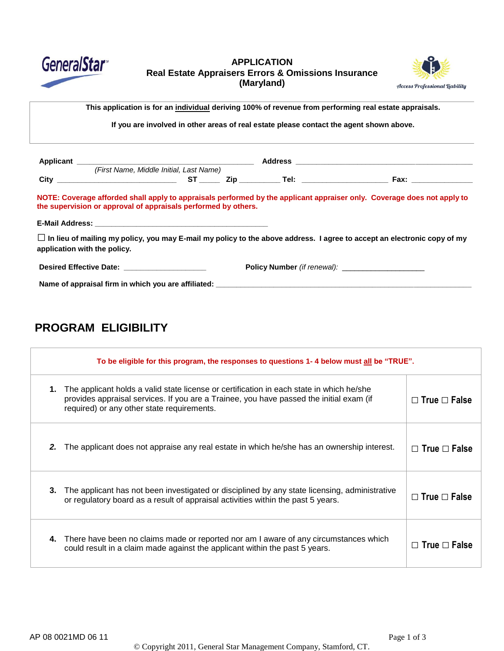

### **APPLICATION Real Estate Appraisers Errors & Omissions Insurance (Maryland)**



This application is for an individual deriving 100% of revenue from performing real estate appraisals. telephone (1980)<br>De la provincia de la provincia de la provincia de la provincia de la provincia de la provincia de la provincia<br>De la provincia de la provincia de la provincia de la provincia de la provincia de la provinc

**If you are involved in other areas of real estate please contact the agent shown above.**

| (First Name, Middle Initial, Last Name)                                                                                                                                                   |  |  |
|-------------------------------------------------------------------------------------------------------------------------------------------------------------------------------------------|--|--|
|                                                                                                                                                                                           |  |  |
| NOTE: Coverage afforded shall apply to appraisals performed by the applicant appraiser only. Coverage does not apply to<br>the supervision or approval of appraisals performed by others. |  |  |
|                                                                                                                                                                                           |  |  |
| $\Box$ In lieu of mailing my policy, you may E-mail my policy to the above address. I agree to accept an electronic copy of my<br>application with the policy.                            |  |  |
| Desired Effective Date: New York 1999                                                                                                                                                     |  |  |
| Name of appraisal firm in which you are affiliated: Name of a series of a series of a series of a series of a                                                                             |  |  |

# **PROGRAM ELIGIBILITY**

| To be eligible for this program, the responses to questions 1-4 below must all be "TRUE". |                                                                                                                                                                                                                                   |                          |  |
|-------------------------------------------------------------------------------------------|-----------------------------------------------------------------------------------------------------------------------------------------------------------------------------------------------------------------------------------|--------------------------|--|
| 1.                                                                                        | The applicant holds a valid state license or certification in each state in which he/she<br>provides appraisal services. If you are a Trainee, you have passed the initial exam (if<br>required) or any other state requirements. | $\Box$ True $\Box$ False |  |
| 2.                                                                                        | The applicant does not appraise any real estate in which he/she has an ownership interest.                                                                                                                                        | $\Box$ True $\Box$ False |  |
| 3.                                                                                        | The applicant has not been investigated or disciplined by any state licensing, administrative<br>or regulatory board as a result of appraisal activities within the past 5 years.                                                 | $\Box$ True $\Box$ False |  |
| 4.                                                                                        | There have been no claims made or reported nor am I aware of any circumstances which<br>could result in a claim made against the applicant within the past 5 years.                                                               | $\Box$ True $\Box$ False |  |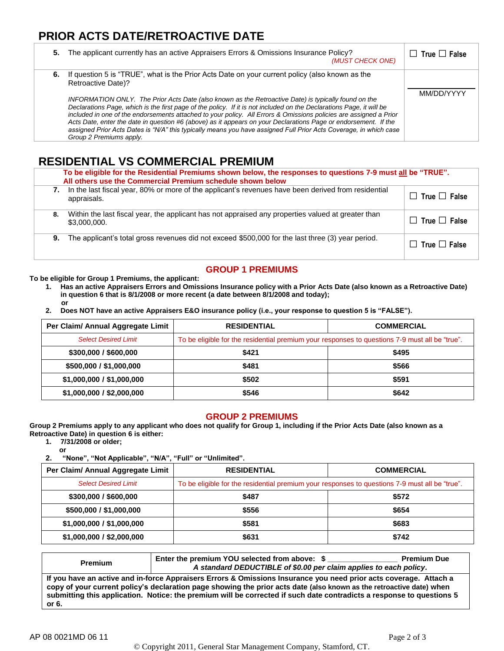## **PRIOR ACTS DATE/RETROACTIVE DATE**

| 5. | The applicant currently has an active Appraisers Errors & Omissions Insurance Policy?<br>(MUST CHECK ONE)                                                                                                                                                                                                                                                                                                                                                                                                                                                                                                                                                                                                                                       | $\Box$ True $\Box$ False |
|----|-------------------------------------------------------------------------------------------------------------------------------------------------------------------------------------------------------------------------------------------------------------------------------------------------------------------------------------------------------------------------------------------------------------------------------------------------------------------------------------------------------------------------------------------------------------------------------------------------------------------------------------------------------------------------------------------------------------------------------------------------|--------------------------|
|    | 6. If question 5 is "TRUE", what is the Prior Acts Date on your current policy (also known as the<br>Retroactive Date)?<br>INFORMATION ONLY. The Prior Acts Date (also known as the Retroactive Date) is typically found on the<br>Declarations Page, which is the first page of the policy. If it is not included on the Declarations Page, it will be<br>included in one of the endorsements attached to your policy. All Errors & Omissions policies are assigned a Prior<br>Acts Date, enter the date in question #6 (above) as it appears on your Declarations Page or endorsement. If the<br>assigned Prior Acts Dates is "N/A" this typically means you have assigned Full Prior Acts Coverage, in which case<br>Group 2 Premiums apply. | MM/DD/YYYY               |

## **RESIDENTIAL VS COMMERCIAL PREMIUM**

| To be eligible for the Residential Premiums shown below, the responses to questions 7-9 must all be "TRUE".<br>All others use the Commercial Premium schedule shown below |                          |  |  |
|---------------------------------------------------------------------------------------------------------------------------------------------------------------------------|--------------------------|--|--|
| In the last fiscal year, 80% or more of the applicant's revenues have been derived from residential<br>appraisals.                                                        | $\Box$ True $\Box$ False |  |  |
| Within the last fiscal year, the applicant has not appraised any properties valued at greater than<br>8.<br>\$3,000,000.                                                  | $\Box$ True $\Box$ False |  |  |
| The applicant's total gross revenues did not exceed \$500,000 for the last three (3) year period.<br>9.                                                                   | $\Box$ True $\Box$ False |  |  |

## **GROUP 1 PREMIUMS**

**To be eligible for Group 1 Premiums, the applicant:**

- **1. Has an active Appraisers Errors and Omissions Insurance policy with a Prior Acts Date (also known as a Retroactive Date) in question 6 that is 8/1/2008 or more recent (a date between 8/1/2008 and today); or**
- **2. Does NOT have an active Appraisers E&O insurance policy (i.e., your response to question 5 is "FALSE").**

| Per Claim/ Annual Aggregate Limit | <b>RESIDENTIAL</b>                                                                             | <b>COMMERCIAL</b> |  |
|-----------------------------------|------------------------------------------------------------------------------------------------|-------------------|--|
| <b>Select Desired Limit</b>       | To be eligible for the residential premium your responses to questions 7-9 must all be "true". |                   |  |
| \$300,000 / \$600,000             | \$421                                                                                          | \$495             |  |
| \$500,000 / \$1,000,000           | \$481                                                                                          | \$566             |  |
| \$1,000,000 / \$1,000,000         | \$502                                                                                          | \$591             |  |
| \$1,000,000 / \$2,000,000         | \$546                                                                                          | \$642             |  |

#### **GROUP 2 PREMIUMS**

**Group 2 Premiums apply to any applicant who does not qualify for Group 1, including if the Prior Acts Date (also known as a Retroactive Date) in question 6 is either:**

**1. 7/31/2008 or older;**

**or 2. "None", "Not Applicable", "N/A", "Full" or "Unlimited".**

| Per Claim/ Annual Aggregate Limit | <b>RESIDENTIAL</b>                                                                             | <b>COMMERCIAL</b> |  |
|-----------------------------------|------------------------------------------------------------------------------------------------|-------------------|--|
| <b>Select Desired Limit</b>       | To be eligible for the residential premium your responses to questions 7-9 must all be "true". |                   |  |
| \$300,000 / \$600,000             | \$487                                                                                          | \$572             |  |
| \$500,000 / \$1,000,000           | \$556                                                                                          | \$654             |  |
| \$1,000,000 / \$1,000,000         | \$581                                                                                          | \$683             |  |
| \$1,000,000 / \$2,000,000         | \$631                                                                                          | \$742             |  |

| <b>Premium</b>                                                                                                                                                                                                                                                                                                                                                              | Enter the premium YOU selected from above: \$<br>A standard DEDUCTIBLE of \$0.00 per claim applies to each policy. | <b>Premium Due</b> |
|-----------------------------------------------------------------------------------------------------------------------------------------------------------------------------------------------------------------------------------------------------------------------------------------------------------------------------------------------------------------------------|--------------------------------------------------------------------------------------------------------------------|--------------------|
| If you have an active and in-force Appraisers Errors & Omissions Insurance you need prior acts coverage. Attach a<br>copy of your current policy's declaration page showing the prior acts date (also known as the retroactive date) when<br>submitting this application. Notice: the premium will be corrected if such date contradicts a response to questions 5<br>or 6. |                                                                                                                    |                    |